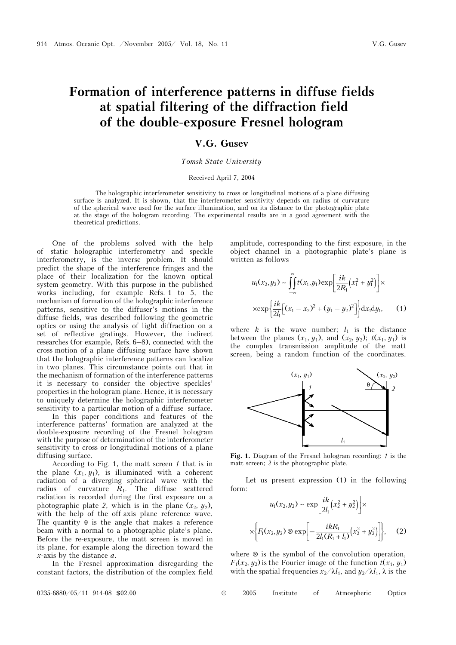# **Formation of interference patterns in diffuse fields at spatial filtering of the diffraction field of the double-exposure Fresnel hologram**

## **V.G. Gusev**

#### *Tomsk State University*

#### Received April 7, 2004

The holographic interferometer sensitivity to cross or longitudinal motions of a plane diffusing surface is analyzed. It is shown, that the interferometer sensitivity depends on radius of curvature of the spherical wave used for the surface illumination, and on its distance to the photographic plate at the stage of the hologram recording. The experimental results are in a good agreement with the theoretical predictions.

One of the problems solved with the help of static holographic interferometry and speckle interferometry, is the inverse problem. It should predict the shape of the interference fringes and the place of their localization for the known optical system geometry. With this purpose in the published works including, for example Refs. 1 to 5, the mechanism of formation of the holographic interference patterns, sensitive to the diffuser's motions in the diffuse fields, was described following the geometric optics or using the analysis of light diffraction on a set of reflective gratings. However, the indirect researches (for example, Refs. 6–8), connected with the cross motion of a plane diffusing surface have shown that the holographic interference patterns can localize in two planes. This circumstance points out that in the mechanism of formation of the interference patterns it is necessary to consider the objective speckles' properties in the hologram plane. Hence, it is necessary to uniquely determine the holographic interferometer sensitivity to a particular motion of a diffuse surface.

In this paper conditions and features of the interference patterns' formation are analyzed at the double-exposure recording of the Fresnel hologram with the purpose of determination of the interferometer sensitivity to cross or longitudinal motions of a plane diffusing surface.

According to Fig. 1, the matt screen *1* that is in the plane  $(x_1, y_1)$ , is illuminated with a coherent radiation of a diverging spherical wave with the radius of curvature *R*1. The diffuse scattered radiation is recorded during the first exposure on a photographic plate 2, which is in the plane  $(x_2, y_2)$ , with the help of the off-axis plane reference wave. The quantity  $\theta$  is the angle that makes a reference beam with a normal to a photographic plate's plane. Before the re-exposure, the matt screen is moved in its plane, for example along the direction toward the *x*-axis by the distance *a*.

In the Fresnel approximation disregarding the constant factors, the distribution of the complex field amplitude, corresponding to the first exposure, in the object channel in a photographic plate's plane is written as follows

$$
u_1(x_2, y_2) \sim \int_{-\infty}^{\infty} t(x_1, y_1) \exp\left[\frac{ik}{2R_1}(x_1^2 + y_1^2)\right] \times
$$
  
 
$$
\times \exp\left\{\frac{ik}{2l_1}[(x_1 - x_2)^2 + (y_1 - y_2)^2]\right\} dx_1 dy_1, \quad (1)
$$

where  $k$  is the wave number;  $l_1$  is the distance between the planes  $(x_1, y_1)$ , and  $(x_2, y_2)$ ;  $t(x_1, y_1)$  is the complex transmission amplitude of the matt screen, being a random function of the coordinates.



**Fig. 1.** Diagram of the Fresnel hologram recording: *1* is the matt screen; *2* is the photographic plate.

Let us present expression (1) in the following form:

$$
u_1(x_2, y_2) \sim \exp\left[\frac{ik}{2l_1}(x_2^2 + y_2^2)\right] \times
$$

$$
\times \left\{ F_1(x_2, y_2) \otimes \exp\left[-\frac{ikR_1}{2l_1(R_1 + l_1)}(x_2^2 + y_2^2)\right] \right\}, \quad (2)
$$

where ⊗ is the symbol of the convolution operation,  $F_1(x_2, y_2)$  is the Fourier image of the function  $t(x_1, y_1)$ with the spatial frequencies  $x_2/\lambda l_1$ , and  $y_2/\lambda l_1$ ,  $\lambda$  is the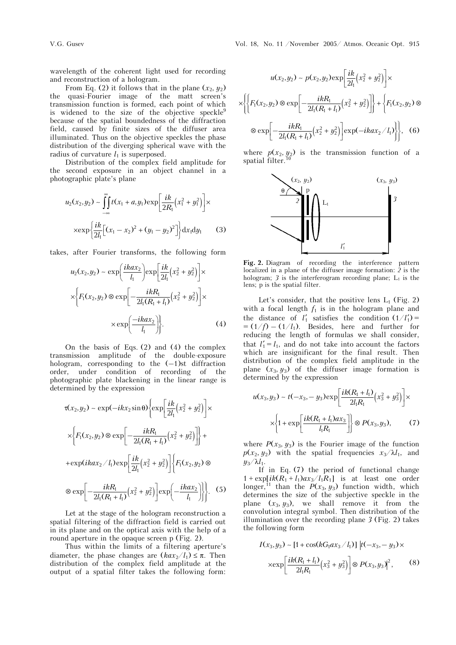wavelength of the coherent light used for recording and reconstruction of a hologram.

From Eq. (2) it follows that in the plane  $(x_2, y_2)$ the quasi-Fourier image of the matt screen's transmission function is formed, each point of which is widened to the size of the objective speckle $9$ because of the spatial boundedness of the diffraction field, caused by finite sizes of the diffuser area illuminated. Thus on the objective speckles the phase distribution of the diverging spherical wave with the radius of curvature  $l_1$  is superposed.

Distribution of the complex field amplitude for the second exposure in an object channel in a photographic plate's plane

$$
u_2(x_2, y_2) \sim \int_{-\infty}^{\infty} t(x_1 + a, y_1) \exp\left[\frac{ik}{2R_1}(x_1^2 + y_1^2)\right] \times
$$
  
 
$$
\times \exp\left\{\frac{ik}{2l_1}[(x_1 - x_2)^2 + (y_1 - y_2)^2]\right\} dx_1 dy_1
$$
 (3)

takes, after Fourier transforms, the following form

$$
u_2(x_2, y_2) \sim \exp\left(\frac{ikax_2}{l_1}\right) \exp\left[\frac{ik}{2l_1}(x_2^2 + y_2^2)\right] \times
$$

$$
\times \left\{ F_1(x_2, y_2) \otimes \exp\left[-\frac{ikR_1}{2l_1(R_1 + l_1)}(x_2^2 + y_2^2)\right] \times \right.
$$

$$
\times \exp\left(\frac{-ikax_2}{l_1}\right).
$$
(4)

On the basis of Eqs. (2) and (4) the complex transmission amplitude of the double-exposure hologram, corresponding to the  $(-1)$ st diffraction order, under condition of recording of the photographic plate blackening in the linear range is determined by the expression

$$
\tau(x_2, y_2) \sim \exp(-ikx_2 \sin \theta) \left\{ \exp\left[\frac{ik}{2l_1}(x_2^2 + y_2^2)\right] \times \right.
$$
  

$$
\times \left\{ F_1(x_2, y_2) \otimes \exp\left[-\frac{ikR_1}{2l_1(R_1 + l_1)}(x_2^2 + y_2^2)\right] \right\} + \left.\exp(ikax_2/l_1) \exp\left[\frac{ik}{2l_1}(x_2^2 + y_2^2)\right] \left\{ F_1(x_2, y_2) \otimes \right.\right.
$$
  

$$
\otimes \exp\left[-\frac{ikR_1}{2l_1(R_1 + l_1)}(x_2^2 + y_2^2)\right] \exp\left(-\frac{ikax_2}{l_1}\right) \left.\right\}.
$$
 (5)

Let at the stage of the hologram reconstruction a spatial filtering of the diffraction field is carried out in its plane and on the optical axis with the help of a round aperture in the opaque screen  $p$  (Fig. 2).

Thus within the limits of a filtering aperture's diameter, the phase changes are  $(kax_2/l_1) \leq \pi$ . Then distribution of the complex field amplitude at the output of a spatial filter takes the following form:

$$
u(x_2, y_2) \sim p(x_2, y_2) \exp\left[\frac{ik}{2l_1}(x_2^2 + y_2^2)\right] \times
$$
  

$$
\times \left\{\left\{F_1(x_2, y_2) \otimes \exp\left[-\frac{ikR_1}{2l_1(R_1 + l_1)}(x_2^2 + y_2^2)\right]\right\} + \left\{F_1(x_2, y_2) \otimes \otimes \exp\left[-\frac{ikR_1}{2l_1(R_1 + l_1)}(x_2^2 + y_2^2)\right] \exp(-ikax_2/l_1)\right\}, \quad (6)
$$

where  $p(x_2, y_2)$  is the transmission function of a spatial filter.



**Fig. 2.** Diagram of recording the interference pattern localized in a plane of the diffuser image formation: *2* is the hologram;  $3$  is the interferogram recording plane;  $L_1$  is the lens; p is the spatial filter.

Let's consider, that the positive lens  $L_1$  (Fig. 2) with a focal length  $f_1$  is in the hologram plane and the distance of  $l'_1$  satisfies the condition  $(1/l'_1)$  =  $= (1/f) - (1/l_1)$ . Besides, here and further for reducing the length of formulas we shall consider, that  $l'_1 = l_1$ , and do not take into account the factors which are insignificant for the final result. Then distribution of the complex field amplitude in the plane  $(x_3, y_3)$  of the diffuser image formation is determined by the expression

$$
u(x_3, y_3) \sim t(-x_3, -y_3) \exp\left[\frac{ik(R_1 + l_1)}{2l_1R_1}(x_3^2 + y_3^2)\right] \times
$$

$$
\times \left\{1 + \exp\left[\frac{ik(R_1 + l_1)ax_3}{l_1R_1}\right]\right\} \otimes P(x_3, y_3),\tag{7}
$$

where  $P(x_3, y_3)$  is the Fourier image of the function  $p(x_2, y_2)$  with the spatial frequencies  $x_3/\lambda l_1$ , and  $y_3/\lambda l_1$ .

If in Eq. (7) the period of functional change  $1 + \exp[i k(R_1 + l_1)ax_3/l_1R_1]$  is at least one order longer,<sup>11</sup> than the  $P(x_3, y_3)$  function width, which determines the size of the subjective speckle in the plane  $(x_3, y_3)$ , we shall remove it from the convolution integral symbol. Then distribution of the illumination over the recording plane *3* (Fig. 2) takes the following form

$$
I(x_3, y_3) \sim [1 + \cos(kG_1ax_3/l_1)] |t(-x_3, -y_3) \times
$$
  
 
$$
\times \exp\left[\frac{ik(R_1 + l_1)}{2l_1R_1}(x_3^2 + y_3^2)\right] \otimes P(x_3, y_3)|^2,
$$
 (8)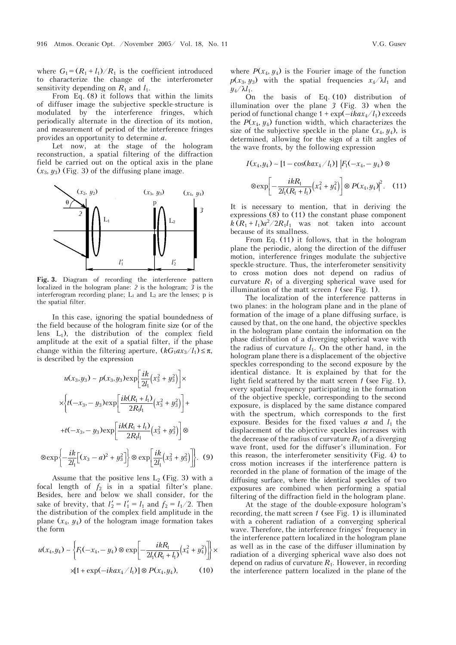where  $G_1 = (R_1 + l_1)/R_1$  is the coefficient introduced to characterize the change of the interferometer sensitivity depending on  $R_1$  and  $l_1$ .

From Eq. (8) it follows that within the limits of diffuser image the subjective speckle-structure is modulated by the interference fringes, which periodically alternate in the direction of its motion, and measurement of period of the interference fringes provides an opportunity to determine *a*.

Let now, at the stage of the hologram reconstruction, a spatial filtering of the diffraction field be carried out on the optical axis in the plane  $(x_3, y_3)$  (Fig. 3) of the diffusing plane image.



**Fig. 3.** Diagram of recording the interference pattern localized in the hologram plane: *2* is the hologram; *3* is the interferogram recording plane;  $L_1$  and  $L_2$  are the lenses;  $p$  is the spatial filter.

In this case, ignoring the spatial boundedness of the field because of the hologram finite size (or of the lens  $L_1$ ), the distribution of the complex field amplitude at the exit of a spatial filter, if the phase change within the filtering aperture,  $(kG_1ax_3/l_1) \leq \pi$ , is described by the expression

$$
u(x_3, y_3) \sim p(x_3, y_3) \exp\left[\frac{ik}{2l_1}(x_3^2 + y_3^2)\right] \times
$$
  

$$
\times \left\{t(-x_3, -y_3) \exp\left[\frac{ik(R_1 + l_1)}{2R_1l_1}(x_3^2 + y_3^2)\right] +
$$
  

$$
+ t(-x_3, -y_3) \exp\left[\frac{ik(R_1 + l_1)}{2R_1l_1}(x_3^2 + y_3^2)\right] \otimes
$$
  

$$
\otimes \exp\left\{-\frac{ik}{2l_1}[(x_3 - a)^2 + y_3^2]\right\} \otimes \exp\left[\frac{ik}{2l_1}(x_3^2 + y_3^2)\right].
$$
 (9)

Assume that the positive lens  $L_2$  (Fig. 3) with a focal length of  $f_2$  is in a spatial filter's plane. Besides, here and below we shall consider, for the sake of brevity, that  $l'_2 = l'_1 = l_1$  and  $f_2 = l_1/2$ . Then the distribution of the complex field amplitude in the plane  $(x_4, y_4)$  of the hologram image formation takes the form

$$
u(x_4, y_4) \sim \left\{ F_1(-x_4, -y_4) \otimes \exp\left[ -\frac{i k R_1}{2l_1 (R_1 + l_1)} \left( x_4^2 + y_4^2 \right) \right] \right\} \times
$$
  
 
$$
\times [1 + \exp(-i k a x_4 / l_1)] \otimes P(x_4, y_4), \qquad (10)
$$

where  $P(x_4, y_4)$  is the Fourier image of the function  $p(x_3, y_3)$  with the spatial frequencies  $x_4/\lambda l_1$  and  $y_4/\lambda l_1$ .

On the basis of Eq. (10) distribution of illumination over the plane *3* (Fig. 3) when the period of functional change  $1 + \exp(-ikax_4/l_1)$  exceeds the  $P(x_4, y_4)$  function width, which characterizes the size of the subjective speckle in the plane  $(x_4, y_4)$ , is determined, allowing for the sign of a tilt angles of the wave fronts, by the following expression

$$
I(x_4, y_4) \sim [1 - \cos(kax_4/l_1)] |F_1(-x_4, -y_4) \otimes
$$

$$
\otimes \exp \left[ -\frac{i k R_1}{2l_1 (R_1 + l_1)} (x_4^2 + y_4^2) \right] \otimes P(x_4, y_4)|^2. \quad (11)
$$

It is necessary to mention, that in deriving the expressions (8) to (11) the constant phase component  $k(R_1 + l_1)a^2/2R_1l_1$  was not taken into account because of its smallness.

From Eq. (11) it follows, that in the hologram plane the periodic, along the direction of the diffuser motion, interference fringes modulate the subjective speckle-structure. Thus, the interferometer sensitivity to cross motion does not depend on radius of curvature  $R_1$  of a diverging spherical wave used for illumination of the matt screen *1* (see Fig. 1).

The localization of the interference patterns in two planes: in the hologram plane and in the plane of formation of the image of a plane diffusing surface, is caused by that, on the one hand, the objective speckles in the hologram plane contain the information on the phase distribution of a diverging spherical wave with the radius of curvature  $l_1$ . On the other hand, in the hologram plane there is a displacement of the objective speckles corresponding to the second exposure by the identical distance. It is explained by that for the light field scattered by the matt screen *1* (see Fig. 1), every spatial frequency participating in the formation of the objective speckle, corresponding to the second exposure, is displaced by the same distance compared with the spectrum, which corresponds to the first exposure. Besides for the fixed values  $a$  and  $l_1$  the displacement of the objective speckles increases with the decrease of the radius of curvature  $R_1$  of a diverging wave front, used for the diffuser's illumination. For this reason, the interferometer sensitivity (Fig. 4) to cross motion increases if the interference pattern is recorded in the plane of formation of the image of the diffusing surface, where the identical speckles of two exposures are combined when performing a spatial filtering of the diffraction field in the hologram plane.

At the stage of the double-exposure hologram's recording, the matt screen *1* (see Fig. 1) is illuminated with a coherent radiation of a converging spherical wave. Therefore, the interference fringes' frequency in the interference pattern localized in the hologram plane as well as in the case of the diffuser illumination by radiation of a diverging spherical wave also does not depend on radius of curvature  $R_1$ . However, in recording the interference pattern localized in the plane of the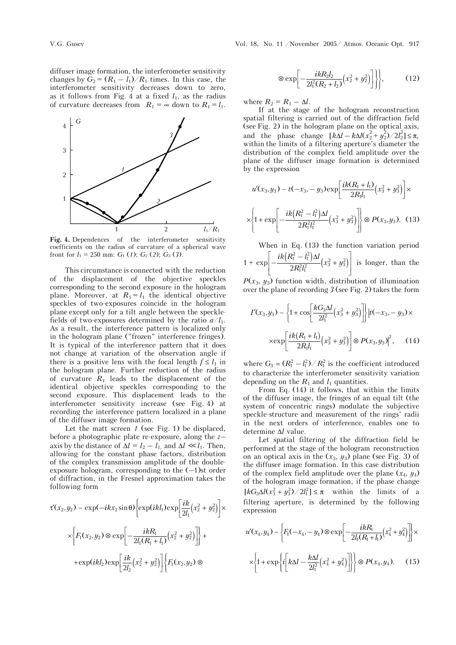diffuser image formation, the interferometer sensitivity changes by  $G_2 = (R_1 - l_1)/R_1$  times. In this case, the interferometer sensitivity decreases down to zero, as it follows from Fig. 4 at a fixed  $l_1$ , as the radius of curvature decreases from  $R_1 = \infty$  down to  $R_1 = l_1$ .



**Fig. 4.** Dependences of the interferometer sensitivity coefficients on the radius of curvature of a spherical wave front for  $l_1 = 250$  mm:  $G_1$  (1);  $G_2$  (2);  $G_3$  (3).

This circumstance is connected with the reduction of the displacement of the objective speckles corresponding to the second exposure in the hologram plane. Moreover, at  $R_1 = l_1$  the identical objective speckles of two-exposures coincide in the hologram plane except only for a tilt angle between the specklefields of two-exposures determined by the ratio  $a/l_1$ . As a result, the interference pattern is localized only in the hologram plane ("frozen" interference fringes). It is typical of the interference pattern that it does not change at variation of the observation angle if there is a positive lens with the focal length  $f \leq l_1$  in the hologram plane. Further reduction of the radius of curvature  $R_1$  leads to the displacement of the identical objective speckles corresponding to the second exposure. This displacement leads to the interferometer sensitivity increase (see Fig. 4) at recording the interference pattern localized in a plane of the diffuser image formation.

Let the matt screen *1* (see Fig. 1) be displaced, before a photographic plate re-exposure, along the *z*– axis by the distance of  $\Delta l = l_2 - l_1$ , and  $\Delta l \ll l_1$ . Then, allowing for the constant phase factors, distribution of the complex transmission amplitude of the doubleexposure hologram, corresponding to the  $(-1)$ st order of diffraction, in the Fresnel approximation takes the following form

$$
\tau'(x_2, y_2) \sim \exp(-ikx_2 \sin \theta) \Biggl\{ \exp(ikl_1) \exp\Biggl[ \frac{ik}{2l_1} (x_2^2 + y_2^2) \Biggr] \times \\ \times \Biggl\{ F_1(x_2, y_2) \otimes \exp\Biggl[ -\frac{ikR_1}{2l_1 (R_1 + l_1)} (x_2^2 + y_2^2) \Biggr] \Biggr\} + \\ + \exp(ikl_2) \exp\Biggl[ \frac{ik}{2l_2} (x_2^2 + y_2^2) \Biggr] \Biggl\{ F_1(x_2, y_2) \otimes \Biggr\}
$$

 $\otimes \exp\left[-\frac{ikR_2l_2}{2l_1^2(R_2+l_2)}(x_2^2+y_2^2)\right]\right\},$  (12)

where  $R_2 = R_1 - \Delta l$ .

If at the stage of the hologram reconstruction spatial filtering is carried out of the diffraction field (see Fig. 2) in the hologram plane on the optical axis, and the phase change  $[k\Delta l - k\Delta l(x_2^2 + y_2^2)/2l_2^2] \le \pi$ , within the limits of a filtering aperture's diameter the distribution of the complex field amplitude over the plane of the diffuser image formation is determined by the expression

$$
u'(x_3, y_3) \sim t(-x_3, -y_3) \exp\left[\frac{ik(R_1 + l_1)}{2R_1l_1}(x_3^2 + y_3^2)\right] \times
$$

$$
\times \left\{1 + \exp\left[-\frac{ik\left(R_1^2 - l_1^2\right)\Delta l}{2R_1^2l_1^2}(x_3^2 + y_3^2)\right]\right\} \otimes P(x_3, y_3). \quad (13)
$$

When in Eq. (13) the function variation period 1 +  $\exp \left(-\frac{ik(R_1^2 - l_1^2)\Delta l}{2R_1^2 l_1^2}(x_3^2 + y_3^2)\right)$  $\left[-\frac{ik\left(R_{\rm I}^2-l_{\rm I}^2\right)\Delta l}{2R_{\rm I}^2l_{\rm I}^2}(x_3^2+y_3^2)\right]$ is longer, than the

 $P(x_3, y_3)$  function width, distribution of illumination over the plane of recording *3* (see Fig. 2) takes the form

$$
I'(x_3, y_3) \sim \left\{ 1 + \cos \left[ \frac{kG_3 \Delta l}{2l_1^2} \left( x_3^2 + y_3^2 \right) \right] \right\} \left| t(-x_3, -y_3) \times \right.
$$

$$
\times \exp \left[ \frac{ik(R_1 + l_1)}{2R_1 l_1} \left( x_3^2 + y_3^2 \right) \right] \otimes P(x_3, y_3)^2, \quad (14)
$$

where  $G_3 = (R_1^2 - l_1^2)/R_1^2$  is the coefficient introduced to characterize the interferometer sensitivity variation depending on the  $R_1$  and  $l_1$  quantities.

From Eq. (14) it follows, that within the limits of the diffuser image, the fringes of an equal tilt (the system of concentric rings) modulate the subjective speckle-structure and measurement of the rings' radii in the next orders of interference, enables one to determine Δ*l* value.

Let spatial filtering of the diffraction field be performed at the stage of the hologram reconstruction on an optical axis in the  $(x_3, y_3)$  plane (see Fig. 3) of the diffuser image formation. In this case distribution of the complex field amplitude over the plane  $(x_4, y_4)$ of the hologram image formation, if the phase change  $\left[ kG_3\Delta l(x_3^2+y_3^2)/2l_1^2 \right] \leq \pi$  within the limits of a filtering aperture, is determined by the following expression

$$
u'(x_4, y_4) \sim \left\{ F_1(-x_4, -y_4) \otimes \exp\left[ -\frac{i k R_1}{2l_1 (R_1 + l_1)} (x_4^2 + y_4^2) \right] \right\} \times \\ \times \left\{ 1 + \exp\left\{ i \left[ k \Delta l - \frac{k \Delta l}{2l_1^2} (x_4^2 + y_4^2) \right] \right\} \right\} \otimes P(x_4, y_4). \tag{15}
$$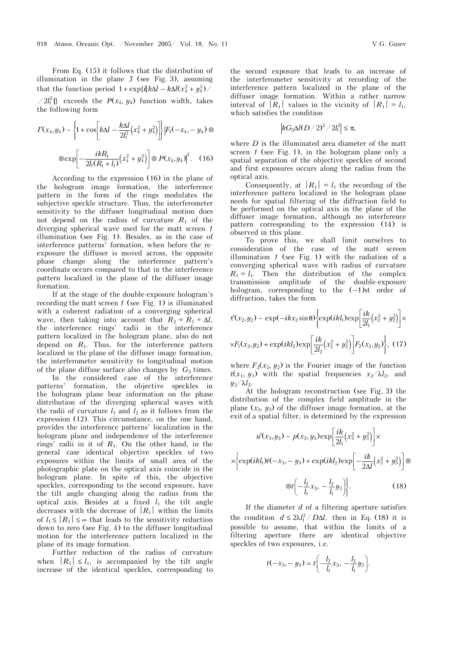From Eq. (15) it follows that the distribution of illumination in the plane *3* (see Fig. 3), assuming that the function period  $1 + \exp{\{i[k\Delta l - k\Delta l(x_4^2 + y_4^2)/\}]}$ 

 $\langle 2l_1^2 \rangle$  exceeds the  $P(x_4, y_4)$  function width, takes the following form

$$
I'(x_4, y_4) \sim \left\{ 1 + \cos \left[ k\Delta l - \frac{k\Delta l}{2l_1^2} \left( x_4^2 + y_4^2 \right) \right] \right\} |F_1(-x_4, -y_4) \otimes
$$

$$
\otimes \exp \left[ -\frac{i k R_1}{2l_1 (R_1 + l_1)} \left( x_4^2 + y_4^2 \right) \right] \otimes P(x_4, y_4)^2. \quad (16)
$$

According to the expression (16) in the plane of the hologram image formation, the interference pattern in the form of the rings modulates the subjective speckle structure. Thus, the interferometer sensitivity to the diffuser longitudinal motion does not depend on the radius of curvature  $R_1$  of the diverging spherical wave used for the matt screen *1* illumination (see Fig. 1). Besides, as in the case of interference patterns' formation, when before the reexposure the diffuser is moved across, the opposite phase change along the interference pattern's coordinate occurs compared to that in the interference pattern localized in the plane of the diffuser image formation.

If at the stage of the double-exposure hologram's recording the matt screen *1* (see Fig. 1) is illuminated with a coherent radiation of a converging spherical wave, then taking into account that  $R_2 = R_1 + \Delta l$ , the interference rings' radii in the interference pattern localized in the hologram plane, also do not depend on  $R_1$ . Thus, for the interference pattern localized in the plane of the diffuser image formation, the interferometer sensitivity to longitudinal motion of the plane diffuse surface also changes by *G*3 times.

In the considered case of the interference patterns' formation, the objective speckles in the hologram plane bear information on the phase distribution of the diverging spherical waves with the radii of curvature  $l_1$  and  $l_2$  as it follows from the expression (12). This circumstance, on the one hand, provides the interference patterns' localization in the hologram plane and independence of the interference rings' radii in it of  $R_1$ . On the other hand, in the general case identical objective speckles of two exposures within the limits of small area of the photographic plate on the optical axis coincide in the hologram plane. In spite of this, the objective speckles, corresponding to the second exposure, have the tilt angle changing along the radius from the optical axis. Besides at a fixed  $l_1$  the tilt angle decreases with the decrease of  $|R_1|$  within the limits of  $l_1 \leq |R_1| \leq \infty$  that leads to the sensitivity reduction down to zero (see Fig. 4) to the diffuser longitudinal motion for the interference pattern localized in the plane of its image formation.

Further reduction of the radius of curvature when  $|R_1| \leq l_1$ , is accompanied by the tilt angle increase of the identical speckles, corresponding to the second exposure that leads to an increase of the interferometer sensitivity at recording of the interference pattern localized in the plane of the diffuser image formation. Within a rather narrow interval of  $|R_1|$  values in the vicinity of  $|R_1| = l_1$ , which satisfies the condition

$$
\left|kG_3\Delta l(D/2)^2/2l_1^2\right|\leq\pi,
$$

where *D* is the illuminated area diameter of the matt screen *1* (see Fig. 1), in the hologram plane only a spatial separation of the objective speckles of second and first exposures occurs along the radius from the optical axis.

Consequently, at  $|R_1| = l_1$  the recording of the interference pattern localized in the hologram plane needs for spatial filtering of the diffraction field to be performed on the optical axis in the plane of the diffuser image formation, although no interference pattern corresponding to the expression (14) is observed in this plane.

To prove this, we shall limit ourselves to consideration of the case of the matt screen illumination *1* (see Fig. 1) with the radiation of a converging spherical wave with radius of curvature  $R_1 = l_1$ . Then the distribution of the complex transmission amplitude of the double-exposure hologram, corresponding to the  $(-1)$ st order of diffraction, takes the form

$$
\tau'(x_2, y_2) \sim \exp(-ikx_2 \sin \theta) \Biggl\{ \exp(ikl_1) \exp\Biggl[ \frac{ik}{2l_1} (x_2^2 + y_2^2) \Biggr] \times
$$
  
 
$$
\times F_1(x_2, y_2) + \exp(ikl_2) \exp\Biggl[ \frac{ik}{2l_2} (x_2^2 + y_2^2) \Biggr] F_2(x_2, y_2) \Biggr\}, \tag{17}
$$

where  $F_2(x_2, y_2)$  is the Fourier image of the function  $t(x_1, y_1)$  with the spatial frequencies  $x_2/\lambda l_2$ , and  $y_2/\lambda l_2$ .

At the hologram reconstruction (see Fig. 3) the distribution of the complex field amplitude in the plane  $(x_3, y_3)$  of the diffuser image formation, at the exit of a spatial filter, is determined by the expression

$$
u'(x_3, y_3) \sim p(x_3, y_3) \exp\left[\frac{ik}{2l_1}(x_3^2 + y_3^2)\right] \times
$$

$$
\times \left\{ \exp(ikl_1)t(-x_3, -y_3) + \exp(ikl_2) \exp\left[-\frac{ik}{2\Delta l}(x_3^2 + y_3^2)\right] \otimes \otimes t\left(-\frac{l_2}{l_1}x_3, -\frac{l_2}{l_1}y_3\right) \right\}.
$$
(18)

If the diameter *d* of a filtering aperture satisfies the condition  $d \leq 2\lambda l_1^2/D\Delta l$ , then in Eq. (18) it is possible to assume, that within the limits of a filtering aperture there are identical objective speckles of two exposures, i.e.

$$
t(-x_3, -y_3) \approx t\left(-\frac{l_2}{l_1}x_3, -\frac{l_2}{l_1}y_3\right).
$$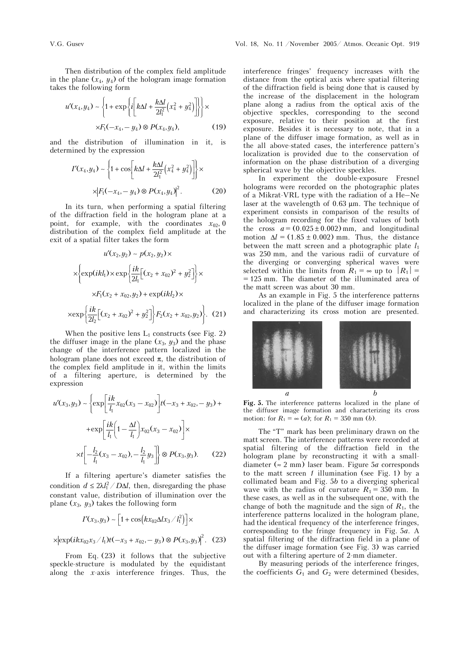Then distribution of the complex field amplitude in the plane  $(x_4, y_4)$  of the hologram image formation takes the following form

$$
u'(x_4, y_4) \sim \left\{ 1 + \exp\left\{ i \left[ k\Delta l + \frac{k\Delta l}{2l_1^2} \left( x_4^2 + y_4^2 \right) \right] \right\} \right\} \times
$$
  
 
$$
\times F_1(-x_4, -y_4) \otimes P(x_4, y_4), \tag{19}
$$

and the distribution of illumination in it, is determined by the expression

$$
I'(x_4, y_4) \sim \left\{ 1 + \cos \left[ k\Delta l + \frac{k\Delta l}{2l_1^2} (x_4^2 + y_4^2) \right] \right\} \times
$$
  
 
$$
\times \left| F_1(-x_4, -y_4) \otimes P(x_4, y_4) \right|^2.
$$
 (20)

In its turn, when performing a spatial filtering of the diffraction field in the hologram plane at a point, for example, with the coordinates  $x_{02}$ , 0 distribution of the complex field amplitude at the exit of a spatial filter takes the form

$$
u'(x_2, y_2) \sim p(x_2, y_2) \times
$$
  

$$
\times \left\{ \exp(ikl_1) \times \exp\left\{ \frac{ik}{2l_1} \left[ (x_2 + x_{02})^2 + y_2^2 \right] \right\} \times
$$
  

$$
\times F_1(x_2 + x_{02}, y_2) + \exp(ikl_2) \times
$$
  

$$
\times \exp\left\{ \frac{ik}{2l_2} \left[ (x_2 + x_{02})^2 + y_2^2 \right] \right\} F_2(x_2 + x_{02}, y_2) \right\}.
$$
 (21)

When the positive lens  $L_1$  constructs (see Fig. 2) the diffuser image in the plane  $(x_3, y_3)$  and the phase change of the interference pattern localized in the hologram plane does not exceed  $\pi$ , the distribution of the complex field amplitude in it, within the limits of a filtering aperture, is determined by the expression

$$
u'(x_3, y_3) \sim \left\{ \exp\left[\frac{ik}{l_1}x_{02}(x_3 - x_{02})\right]t(-x_3 + x_{02}, -y_3) + \right. \\ \left. + \exp\left[\frac{ik}{l_1}\left(1 - \frac{\Delta l}{l_1}\right)x_{02}(x_3 - x_{02})\right] \times \right. \\ \left. \times t\left[-\frac{l_2}{l_1}(x_3 - x_{02}), -\frac{l_2}{l_1}y_3\right] \right\} \otimes P(x_3, y_3). \tag{22}
$$

If a filtering aperture's diameter satisfies the condition  $d \leq 2\lambda l_1^2/D\Delta l$ , then, disregarding the phase constant value, distribution of illumination over the plane  $(x_3, y_3)$  takes the following form

$$
I'(x_3,y_3) \sim \left[1+\cos\left(kx_{02}\Delta l x_3/l_1^2\right)\right] \times
$$

$$
\times \left| \exp(ikx_{02}x_3/l_1)t(-x_3+x_{02}, -y_3) \otimes P(x_3, y_3)\right|^2. (23)
$$

From Eq. (23) it follows that the subjective speckle-structure is modulated by the equidistant along the *x*-axis interference fringes. Thus, the interference fringes' frequency increases with the distance from the optical axis where spatial filtering of the diffraction field is being done that is caused by the increase of the displacement in the hologram plane along a radius from the optical axis of the objective speckles, corresponding to the second exposure, relative to their position at the first exposure. Besides it is necessary to note, that in a plane of the diffuser image formation, as well as in the all above-stated cases, the interference pattern's localization is provided due to the conservation of information on the phase distribution of a diverging spherical wave by the objective speckles.

In experiment the double-exposure Fresnel holograms were recorded on the photographic plates of a Mikrat-VRL type with the radiation of a He–Ne laser at the wavelength of 0.63 μm. The technique of experiment consists in comparison of the results of the hologram recording for the fixed values of both the cross  $a = (0.025 \pm 0.002)$  mm, and longitudinal motion  $\Delta l = (1.85 \pm 0.002)$  mm. Thus, the distance between the matt screen and a photographic plate *l*<sup>1</sup> was 250 mm, and the various radii of curvature of the diverging or converging spherical waves were selected within the limits from  $R_1 = \infty$  up to  $|R_1| =$ = 125 mm. The diameter of the illuminated area of the matt screen was about 30 mm.

As an example in Fig. 5 the interference patterns localized in the plane of the diffuser image formation and characterizing its cross motion are presented.



**Fig. 5.** The interference patterns localized in the plane of the diffuser image formation and characterizing its cross motion: for  $R_1 = \infty$  (*a*); for  $R_1 = 350$  mm (*b*).

The "T" mark has been preliminary drawn on the matt screen. The interference patterns were recorded at spatial filtering of the diffraction field in the hologram plane by reconstructing it with a smalldiameter (≈ 2 mm) laser beam. Figure 5*à* corresponds to the matt screen *1* illumination (see Fig. 1) by a collimated beam and Fig. 5*b* to a diverging spherical wave with the radius of curvature  $R_1 = 350$  mm. In these cases, as well as in the subsequent one, with the change of both the magnitude and the sign of  $R_1$ , the interference patterns localized in the hologram plane, had the identical frequency of the interference fringes, corresponding to the fringe frequency in Fig. 5*à*. A spatial filtering of the diffraction field in a plane of the diffuser image formation (see Fig. 3) was carried out with a filtering aperture of 2-mm diameter.

By measuring periods of the interference fringes, the coefficients  $G_1$  and  $G_2$  were determined (besides,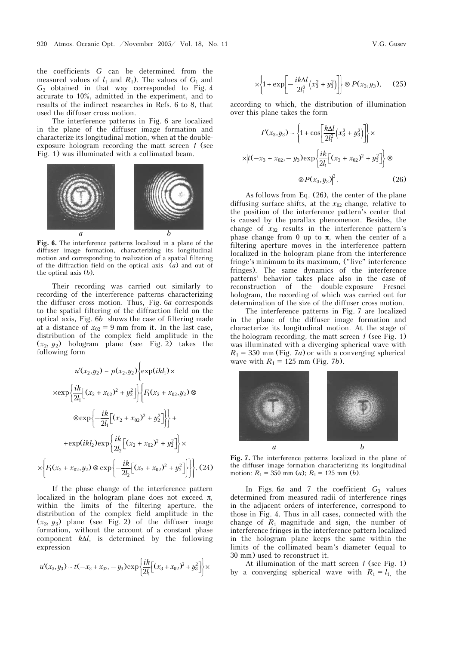the coefficients *G* can be determined from the measured values of  $l_1$  and  $R_1$ ). The values of  $G_1$  and *G*2 obtained in that way corresponded to Fig. 4 accurate to 10%, admitted in the experiment, and to results of the indirect researches in Refs. 6 to 8, that used the diffuser cross motion.

The interference patterns in Fig. 6 are localized in the plane of the diffuser image formation and characterize its longitudinal motion, when at the doubleexposure hologram recording the matt screen *1* (see Fig. 1) was illuminated with a collimated beam.



**Fig. 6.** The interference patterns localized in a plane of the diffuser image formation, characterizing its longitudinal motion and corresponding to realization of a spatial filtering of the diffraction field on the optical axis (*à*) and out of the optical axis (*b*).

Their recording was carried out similarly to recording of the interference patterns characterizing the diffuser cross motion. Thus, Fig. 6*à* corresponds to the spatial filtering of the diffraction field on the optical axis, Fig. 6*b* shows the case of filtering made at a distance of  $x_{02} = 9$  mm from it. In the last case, distribution of the complex field amplitude in the (*x*2, *y*2) hologram plane (see Fig. 2) takes the following form

$$
u'(x_2, y_2) \sim p(x_2, y_2) \Biggl\{ \exp(ikl_1) \times
$$
  

$$
\times \exp \Biggl\{ \frac{ik}{2l_1} \Bigl[ (x_2 + x_{02})^2 + y_2^2 \Bigr] \Biggr\} \Biggl\{ F_1(x_2 + x_{02}, y_2) \otimes
$$
  

$$
\otimes \exp \Biggl\{ - \frac{ik}{2l_1} \Bigl[ (x_2 + x_{02})^2 + y_2^2 \Bigr] \Biggr\} +
$$
  

$$
+ \exp(ikl_2) \exp \Biggl\{ \frac{ik}{2l_2} \Bigl[ (x_2 + x_{02})^2 + y_2^2 \Bigr] \Biggr\} \times
$$
  

$$
\times \Biggl\{ F_1(x_2 + x_{02}, y_2) \otimes \exp \Biggl\{ - \frac{ik}{2l_2} \Bigl[ (x_2 + x_{02})^2 + y_2^2 \Bigr] \Biggr\} \Biggr\} .
$$
 (24)

If the phase change of the interference pattern localized in the hologram plane does not exceed  $\pi$ , within the limits of the filtering aperture, the distribution of the complex field amplitude in the  $(x_3, y_3)$  plane (see Fig. 2) of the diffuser image formation, without the account of a constant phase component  $k\Delta l$ , is determined by the following expression

$$
u'(x_3, y_3) \sim t(-x_3 + x_{02}, -y_3) \exp \left\{ \frac{ik}{2l_1} \left[ (x_3 + x_{02})^2 + y_3^2 \right] \right\} \times
$$

$$
\times \left\{1 + \exp\left[-\frac{i k \Delta l}{2l_1^2} \left(x_3^2 + y_3^2\right)\right]\right\} \otimes P(x_3, y_3), \quad (25)
$$

according to which, the distribution of illumination over this plane takes the form

$$
I'(x_3, y_3) \sim \left\{ 1 + \cos \left[ \frac{k \Delta l}{2l_1^2} (x_3^2 + y_3^2) \right] \right\} \times
$$
  
 
$$
\times |t(-x_3 + x_{02}, -y_3) \exp \left\{ \frac{ik}{2l_1} [(x_3 + x_{02})^2 + y_3^2] \right\} \otimes
$$
  
 
$$
\otimes P(x_3, y_3)|^2.
$$
 (26)

As follows from Eq. (26), the center of the plane diffusing surface shifts, at the  $x_{02}$  change, relative to the position of the interference pattern's center that is caused by the parallax phenomenon. Besides, the change of  $x_{02}$  results in the interference pattern's phase change from 0 up to  $\pi$ , when the center of a filtering aperture moves in the interference pattern localized in the hologram plane from the interference fringe's minimum to its maximum, ("live" interference fringes). The same dynamics of the interference patterns' behavior takes place also in the case of<br>reconstruction of the double-exposure Fresnel double-exposure Fresnel hologram, the recording of which was carried out for determination of the size of the diffuser cross motion.

The interference patterns in Fig. 7 are localized in the plane of the diffuser image formation and characterize its longitudinal motion. At the stage of the hologram recording, the matt screen *1* (see Fig. 1) was illuminated with a diverging spherical wave with  $R_1 = 350$  mm (Fig. 7*a*) or with a converging spherical wave with  $R_1 = 125$  mm (Fig. 7*b*).



**Fig. 7.** The interference patterns localized in the plane of the diffuser image formation characterizing its longitudinal motion:  $R_1 = 350$  mm (*a*);  $R_1 = 125$  mm (*b*).

In Figs.  $6a$  and 7 the coefficient  $G_3$  values determined from measured radii of interference rings in the adjacent orders of interference, correspond to those in Fig. 4. Thus in all cases, connected with the change of  $R_1$  magnitude and sign, the number of interference fringes in the interference pattern localized in the hologram plane keeps the same within the limits of the collimated beam's diameter (equal to 30 mm) used to reconstruct it.

At illumination of the matt screen *1* (see Fig. 1) by a converging spherical wave with  $R_1 = l_1$ , the